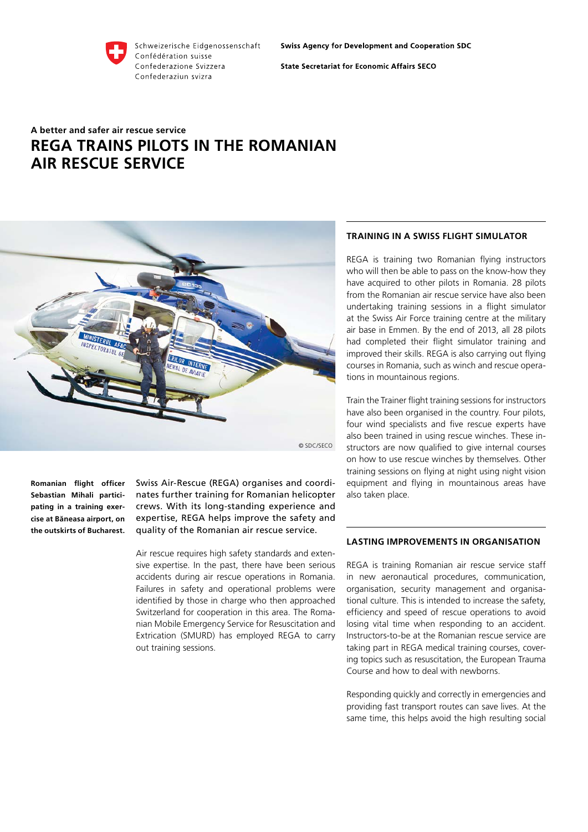

Schweizerische Eidgenossenschaft Confédération suisse Confederazione Svizzera Confederaziun svizra

**Swiss Agency for Development and Cooperation SDC** 

**State Secretariat for Economic Affairs SECO** 

## **A better and safer air rescue service REGA trains pilots in the Romanian air rescue service**



**Romanian flight officer Sebastian Mihali participating in a training exercise at Băneasa airport, on the outskirts of Bucharest.** 

Swiss Air-Rescue (REGA) organises and coordinates further training for Romanian helicopter crews. With its long-standing experience and expertise, REGA helps improve the safety and quality of the Romanian air rescue service.

Air rescue requires high safety standards and extensive expertise. In the past, there have been serious accidents during air rescue operations in Romania. Failures in safety and operational problems were identified by those in charge who then approached Switzerland for cooperation in this area. The Romanian Mobile Emergency Service for Resuscitation and Extrication (SMURD) has employed REGA to carry out training sessions.

## **Training in a Swiss flight simulator**

REGA is training two Romanian flying instructors who will then be able to pass on the know-how they have acquired to other pilots in Romania. 28 pilots from the Romanian air rescue service have also been undertaking training sessions in a flight simulator at the Swiss Air Force training centre at the military air base in Emmen. By the end of 2013, all 28 pilots had completed their flight simulator training and improved their skills. REGA is also carrying out flying courses in Romania, such as winch and rescue operations in mountainous regions.

Train the Trainer flight training sessions for instructors have also been organised in the country. Four pilots, four wind specialists and five rescue experts have also been trained in using rescue winches. These instructors are now qualified to give internal courses on how to use rescue winches by themselves. Other training sessions on flying at night using night vision equipment and flying in mountainous areas have also taken place.

## **Lasting improvements in organisation**

REGA is training Romanian air rescue service staff in new aeronautical procedures, communication, organisation, security management and organisational culture. This is intended to increase the safety, efficiency and speed of rescue operations to avoid losing vital time when responding to an accident. Instructors-to-be at the Romanian rescue service are taking part in REGA medical training courses, covering topics such as resuscitation, the European Trauma Course and how to deal with newborns.

Responding quickly and correctly in emergencies and providing fast transport routes can save lives. At the same time, this helps avoid the high resulting social